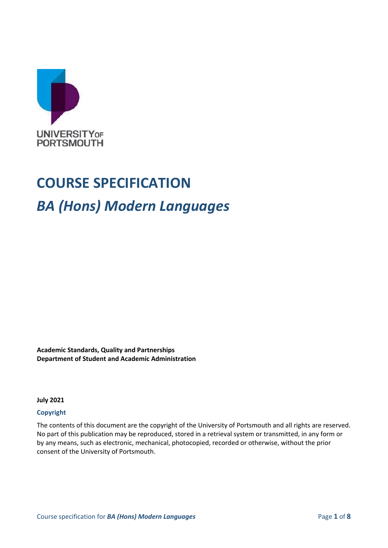

# **COURSE SPECIFICATION** *BA (Hons) Modern Languages*

**Academic Standards, Quality and Partnerships Department of Student and Academic Administration**

**July 2021**

#### **Copyright**

The contents of this document are the copyright of the University of Portsmouth and all rights are reserved. No part of this publication may be reproduced, stored in a retrieval system or transmitted, in any form or by any means, such as electronic, mechanical, photocopied, recorded or otherwise, without the prior consent of the University of Portsmouth.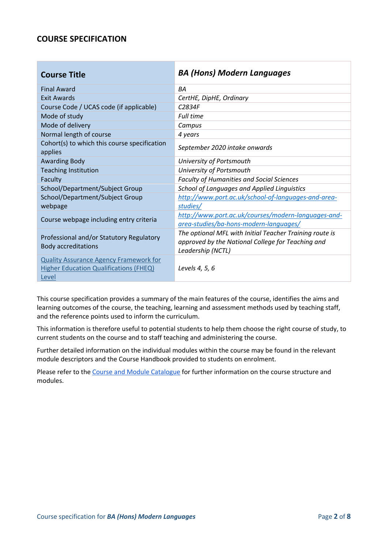## **COURSE SPECIFICATION**

| <b>Course Title</b>                                                                                     | <b>BA (Hons) Modern Languages</b>                                                                                                 |  |
|---------------------------------------------------------------------------------------------------------|-----------------------------------------------------------------------------------------------------------------------------------|--|
| <b>Final Award</b>                                                                                      | <b>BA</b>                                                                                                                         |  |
| <b>Exit Awards</b>                                                                                      | CertHE, DipHE, Ordinary                                                                                                           |  |
| Course Code / UCAS code (if applicable)                                                                 | C <sub>2834F</sub>                                                                                                                |  |
| Mode of study                                                                                           | <b>Full time</b>                                                                                                                  |  |
| Mode of delivery                                                                                        | Campus                                                                                                                            |  |
| Normal length of course                                                                                 | 4 years                                                                                                                           |  |
| Cohort(s) to which this course specification<br>applies                                                 | September 2020 intake onwards                                                                                                     |  |
| <b>Awarding Body</b>                                                                                    | University of Portsmouth                                                                                                          |  |
| <b>Teaching Institution</b>                                                                             | University of Portsmouth                                                                                                          |  |
| Faculty                                                                                                 | <b>Faculty of Humanities and Social Sciences</b>                                                                                  |  |
| School/Department/Subject Group                                                                         | School of Languages and Applied Linguistics                                                                                       |  |
| School/Department/Subject Group                                                                         | http://www.port.ac.uk/school-of-languages-and-area-                                                                               |  |
| webpage                                                                                                 | studies/                                                                                                                          |  |
| Course webpage including entry criteria                                                                 | http://www.port.ac.uk/courses/modern-languages-and-<br>area-studies/ba-hons-modern-languages/                                     |  |
| Professional and/or Statutory Regulatory<br><b>Body accreditations</b>                                  | The optional MFL with Initial Teacher Training route is<br>approved by the National College for Teaching and<br>Leadership (NCTL) |  |
| <b>Quality Assurance Agency Framework for</b><br><b>Higher Education Qualifications (FHEQ)</b><br>Level | Levels 4, 5, 6                                                                                                                    |  |

This course specification provides a summary of the main features of the course, identifies the aims and learning outcomes of the course, the teaching, learning and assessment methods used by teaching staff, and the reference points used to inform the curriculum.

This information is therefore useful to potential students to help them choose the right course of study, to current students on the course and to staff teaching and administering the course.

Further detailed information on the individual modules within the course may be found in the relevant module descriptors and the Course Handbook provided to students on enrolment.

Please refer to the [Course and Module Catalogue](https://course-module-catalog.port.ac.uk/#/welcome) for further information on the course structure and modules.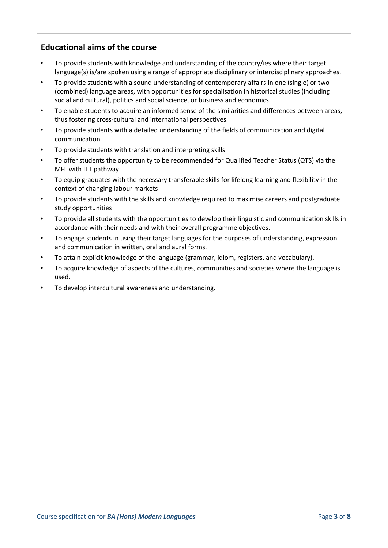# **Educational aims of the course**

- To provide students with knowledge and understanding of the country/ies where their target language(s) is/are spoken using a range of appropriate disciplinary or interdisciplinary approaches.
- To provide students with a sound understanding of contemporary affairs in one (single) or two (combined) language areas, with opportunities for specialisation in historical studies (including social and cultural), politics and social science, or business and economics.
- To enable students to acquire an informed sense of the similarities and differences between areas, thus fostering cross-cultural and international perspectives.
- To provide students with a detailed understanding of the fields of communication and digital communication.
- To provide students with translation and interpreting skills
- To offer students the opportunity to be recommended for Qualified Teacher Status (QTS) via the MFL with ITT pathway
- To equip graduates with the necessary transferable skills for lifelong learning and flexibility in the context of changing labour markets
- To provide students with the skills and knowledge required to maximise careers and postgraduate study opportunities
- To provide all students with the opportunities to develop their linguistic and communication skills in accordance with their needs and with their overall programme objectives.
- To engage students in using their target languages for the purposes of understanding, expression and communication in written, oral and aural forms.
- To attain explicit knowledge of the language (grammar, idiom, registers, and vocabulary).
- To acquire knowledge of aspects of the cultures, communities and societies where the language is used.
- To develop intercultural awareness and understanding.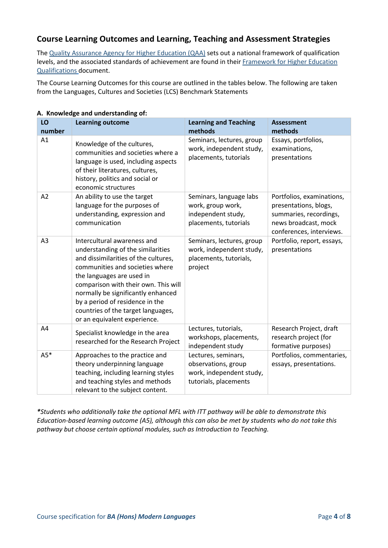# **Course Learning Outcomes and Learning, Teaching and Assessment Strategies**

The [Quality Assurance Agency for Higher Education \(QAA\)](http://www.qaa.ac.uk/en) sets out a national framework of qualification levels, and the associated standards of achievement are found in their [Framework for Higher Education](http://www.qaa.ac.uk/en/Publications/Documents/qualifications-frameworks.pdf)  [Qualifications](http://www.qaa.ac.uk/en/Publications/Documents/qualifications-frameworks.pdf) document.

The Course Learning Outcomes for this course are outlined in the tables below. The following are taken from the Languages, Cultures and Societies (LCS) Benchmark Statements

| LO<br>number | <b>Learning outcome</b>                                                                                                                                                                                                                                                                                                                                         | <b>Learning and Teaching</b><br>methods                                                         | <b>Assessment</b><br>methods                                                                                                     |
|--------------|-----------------------------------------------------------------------------------------------------------------------------------------------------------------------------------------------------------------------------------------------------------------------------------------------------------------------------------------------------------------|-------------------------------------------------------------------------------------------------|----------------------------------------------------------------------------------------------------------------------------------|
| A1           | Knowledge of the cultures,<br>communities and societies where a<br>language is used, including aspects<br>of their literatures, cultures,<br>history, politics and social or<br>economic structures                                                                                                                                                             | Seminars, lectures, group<br>work, independent study,<br>placements, tutorials                  | Essays, portfolios,<br>examinations,<br>presentations                                                                            |
| A2           | An ability to use the target<br>language for the purposes of<br>understanding, expression and<br>communication                                                                                                                                                                                                                                                  | Seminars, language labs<br>work, group work,<br>independent study,<br>placements, tutorials     | Portfolios, examinations,<br>presentations, blogs,<br>summaries, recordings,<br>news broadcast, mock<br>conferences, interviews. |
| A3           | Intercultural awareness and<br>understanding of the similarities<br>and dissimilarities of the cultures,<br>communities and societies where<br>the languages are used in<br>comparison with their own. This will<br>normally be significantly enhanced<br>by a period of residence in the<br>countries of the target languages,<br>or an equivalent experience. | Seminars, lectures, group<br>work, independent study,<br>placements, tutorials,<br>project      | Portfolio, report, essays,<br>presentations                                                                                      |
| A4           | Specialist knowledge in the area<br>researched for the Research Project                                                                                                                                                                                                                                                                                         | Lectures, tutorials,<br>workshops, placements,<br>independent study                             | Research Project, draft<br>research project (for<br>formative purposes)                                                          |
| $A5*$        | Approaches to the practice and<br>theory underpinning language<br>teaching, including learning styles<br>and teaching styles and methods<br>relevant to the subject content.                                                                                                                                                                                    | Lectures, seminars,<br>observations, group<br>work, independent study,<br>tutorials, placements | Portfolios, commentaries,<br>essays, presentations.                                                                              |

#### **A. Knowledge and understanding of:**

*\*Students who additionally take the optional MFL with ITT pathway will be able to demonstrate this Education-based learning outcome (A5), although this can also be met by students who do not take this pathway but choose certain optional modules, such as Introduction to Teaching.*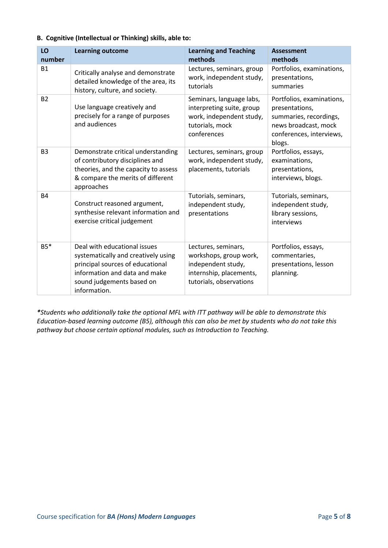#### **B. Cognitive (Intellectual or Thinking) skills, able to:**

| LO<br>number   | <b>Learning outcome</b>                                                                                                                                                               | <b>Learning and Teaching</b><br>methods                                                                                   | <b>Assessment</b><br>methods                                                                                                        |
|----------------|---------------------------------------------------------------------------------------------------------------------------------------------------------------------------------------|---------------------------------------------------------------------------------------------------------------------------|-------------------------------------------------------------------------------------------------------------------------------------|
| <b>B1</b>      | Critically analyse and demonstrate<br>detailed knowledge of the area, its<br>history, culture, and society.                                                                           | Lectures, seminars, group<br>work, independent study,<br>tutorials                                                        | Portfolios, examinations,<br>presentations,<br>summaries                                                                            |
| <b>B2</b>      | Use language creatively and<br>precisely for a range of purposes<br>and audiences                                                                                                     | Seminars, language labs,<br>interpreting suite, group<br>work, independent study,<br>tutorials, mock<br>conferences       | Portfolios, examinations,<br>presentations,<br>summaries, recordings,<br>news broadcast, mock<br>conferences, interviews,<br>blogs. |
| B <sub>3</sub> | Demonstrate critical understanding<br>of contributory disciplines and<br>theories, and the capacity to assess<br>& compare the merits of different<br>approaches                      | Lectures, seminars, group<br>work, independent study,<br>placements, tutorials                                            | Portfolios, essays,<br>examinations,<br>presentations,<br>interviews, blogs.                                                        |
| <b>B4</b>      | Construct reasoned argument,<br>synthesise relevant information and<br>exercise critical judgement                                                                                    | Tutorials, seminars,<br>independent study,<br>presentations                                                               | Tutorials, seminars,<br>independent study,<br>library sessions,<br>interviews                                                       |
| $B5*$          | Deal with educational issues<br>systematically and creatively using<br>principal sources of educational<br>information and data and make<br>sound judgements based on<br>information. | Lectures, seminars,<br>workshops, group work,<br>independent study,<br>internship, placements,<br>tutorials, observations | Portfolios, essays,<br>commentaries,<br>presentations, lesson<br>planning.                                                          |

*\*Students who additionally take the optional MFL with ITT pathway will be able to demonstrate this Education-based learning outcome (B5), although this can also be met by students who do not take this pathway but choose certain optional modules, such as Introduction to Teaching.*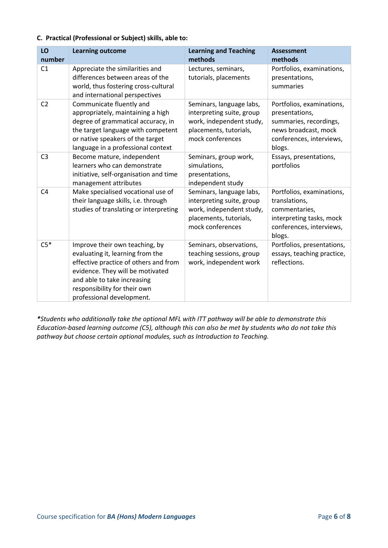#### **C. Practical (Professional or Subject) skills, able to:**

| LO<br>number   | <b>Learning outcome</b>                                                                                                                                                                                                                     | <b>Learning and Teaching</b><br>methods                                                                                         | <b>Assessment</b><br>methods                                                                                                        |
|----------------|---------------------------------------------------------------------------------------------------------------------------------------------------------------------------------------------------------------------------------------------|---------------------------------------------------------------------------------------------------------------------------------|-------------------------------------------------------------------------------------------------------------------------------------|
| C <sub>1</sub> | Appreciate the similarities and<br>differences between areas of the<br>world, thus fostering cross-cultural<br>and international perspectives                                                                                               | Lectures, seminars,<br>tutorials, placements                                                                                    | Portfolios, examinations,<br>presentations,<br>summaries                                                                            |
| C <sub>2</sub> | Communicate fluently and<br>appropriately, maintaining a high<br>degree of grammatical accuracy, in<br>the target language with competent<br>or native speakers of the target<br>language in a professional context                         | Seminars, language labs,<br>interpreting suite, group<br>work, independent study,<br>placements, tutorials,<br>mock conferences | Portfolios, examinations,<br>presentations,<br>summaries, recordings,<br>news broadcast, mock<br>conferences, interviews,<br>blogs. |
| C <sub>3</sub> | Become mature, independent<br>learners who can demonstrate<br>initiative, self-organisation and time<br>management attributes                                                                                                               | Seminars, group work,<br>simulations,<br>presentations,<br>independent study                                                    | Essays, presentations,<br>portfolios                                                                                                |
| C <sub>4</sub> | Make specialised vocational use of<br>their language skills, i.e. through<br>studies of translating or interpreting                                                                                                                         | Seminars, language labs,<br>interpreting suite, group<br>work, independent study,<br>placements, tutorials,<br>mock conferences | Portfolios, examinations,<br>translations,<br>commentaries,<br>interpreting tasks, mock<br>conferences, interviews,<br>blogs.       |
| $C5*$          | Improve their own teaching, by<br>evaluating it, learning from the<br>effective practice of others and from<br>evidence. They will be motivated<br>and able to take increasing<br>responsibility for their own<br>professional development. | Seminars, observations,<br>teaching sessions, group<br>work, independent work                                                   | Portfolios, presentations,<br>essays, teaching practice,<br>reflections.                                                            |

*\*Students who additionally take the optional MFL with ITT pathway will be able to demonstrate this Education-based learning outcome (C5), although this can also be met by students who do not take this pathway but choose certain optional modules, such as Introduction to Teaching.*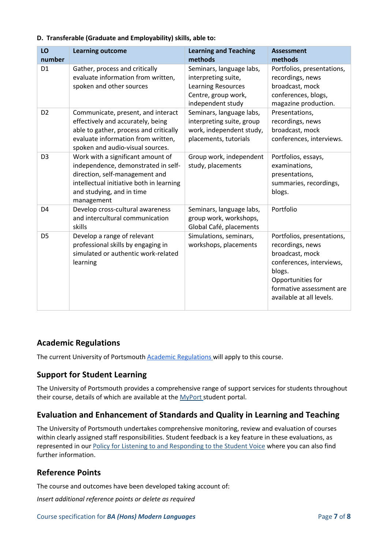| LO<br>number   | <b>Learning outcome</b>                                                                                                                                                                           | <b>Learning and Teaching</b><br>methods                                                                                  | <b>Assessment</b><br>methods                                                                                                                                                         |
|----------------|---------------------------------------------------------------------------------------------------------------------------------------------------------------------------------------------------|--------------------------------------------------------------------------------------------------------------------------|--------------------------------------------------------------------------------------------------------------------------------------------------------------------------------------|
| D <sub>1</sub> | Gather, process and critically<br>evaluate information from written,<br>spoken and other sources                                                                                                  | Seminars, language labs,<br>interpreting suite,<br><b>Learning Resources</b><br>Centre, group work,<br>independent study | Portfolios, presentations,<br>recordings, news<br>broadcast, mock<br>conferences, blogs,<br>magazine production.                                                                     |
| D <sub>2</sub> | Communicate, present, and interact<br>effectively and accurately, being<br>able to gather, process and critically<br>evaluate information from written,<br>spoken and audio-visual sources.       | Seminars, language labs,<br>interpreting suite, group<br>work, independent study,<br>placements, tutorials               | Presentations,<br>recordings, news<br>broadcast, mock<br>conferences, interviews.                                                                                                    |
| D <sub>3</sub> | Work with a significant amount of<br>independence, demonstrated in self-<br>direction, self-management and<br>intellectual initiative both in learning<br>and studying, and in time<br>management | Group work, independent<br>study, placements                                                                             | Portfolios, essays,<br>examinations,<br>presentations,<br>summaries, recordings,<br>blogs.                                                                                           |
| D <sub>4</sub> | Develop cross-cultural awareness<br>and intercultural communication<br>skills                                                                                                                     | Seminars, language labs,<br>group work, workshops,<br>Global Café, placements                                            | Portfolio                                                                                                                                                                            |
| D <sub>5</sub> | Develop a range of relevant<br>professional skills by engaging in<br>simulated or authentic work-related<br>learning                                                                              | Simulations, seminars,<br>workshops, placements                                                                          | Portfolios, presentations,<br>recordings, news<br>broadcast, mock<br>conferences, interviews,<br>blogs.<br>Opportunities for<br>formative assessment are<br>available at all levels. |

#### **D. Transferable (Graduate and Employability) skills, able to:**

## **Academic Regulations**

The current University of Portsmouth [Academic Regulations](https://staff.port.ac.uk/departments/services/academicregistry/qmd/assessmentandregulations/) will apply to this course.

## **Support for Student Learning**

The University of Portsmouth provides a comprehensive range of support services for students throughout their course, details of which are available at the [MyPort](http://myport.ac.uk/) student portal.

## **Evaluation and Enhancement of Standards and Quality in Learning and Teaching**

The University of Portsmouth undertakes comprehensive monitoring, review and evaluation of courses within clearly assigned staff responsibilities. Student feedback is a key feature in these evaluations, as represented in our [Policy for Listening to and Responding to the Student Voice](http://policies.docstore.port.ac.uk/policy-069.pdf) where you can also find further information.

## **Reference Points**

The course and outcomes have been developed taking account of:

*Insert additional reference points or delete as required*